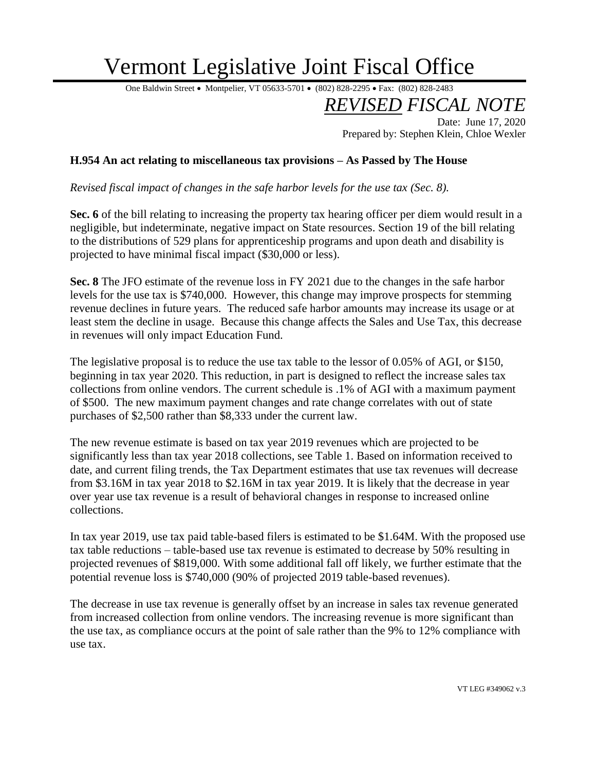## Vermont Legislative Joint Fiscal Office

One Baldwin Street • Montpelier, VT 05633-5701 • (802) 828-2295 • Fax: (802) 828-2483

*REVISED FISCAL NOTE* Date: June 17, 2020

Prepared by: Stephen Klein, Chloe Wexler

## **H.954 An act relating to miscellaneous tax provisions – As Passed by The House**

*Revised fiscal impact of changes in the safe harbor levels for the use tax (Sec. 8).* 

**Sec. 6** of the bill relating to increasing the property tax hearing officer per diem would result in a negligible, but indeterminate, negative impact on State resources. Section 19 of the bill relating to the distributions of 529 plans for apprenticeship programs and upon death and disability is projected to have minimal fiscal impact (\$30,000 or less).

**Sec. 8** The JFO estimate of the revenue loss in FY 2021 due to the changes in the safe harbor levels for the use tax is \$740,000. However, this change may improve prospects for stemming revenue declines in future years. The reduced safe harbor amounts may increase its usage or at least stem the decline in usage. Because this change affects the Sales and Use Tax, this decrease in revenues will only impact Education Fund.

The legislative proposal is to reduce the use tax table to the lessor of 0.05% of AGI, or \$150, beginning in tax year 2020. This reduction, in part is designed to reflect the increase sales tax collections from online vendors. The current schedule is .1% of AGI with a maximum payment of \$500. The new maximum payment changes and rate change correlates with out of state purchases of \$2,500 rather than \$8,333 under the current law.

The new revenue estimate is based on tax year 2019 revenues which are projected to be significantly less than tax year 2018 collections, see Table 1. Based on information received to date, and current filing trends, the Tax Department estimates that use tax revenues will decrease from \$3.16M in tax year 2018 to \$2.16M in tax year 2019. It is likely that the decrease in year over year use tax revenue is a result of behavioral changes in response to increased online collections.

In tax year 2019, use tax paid table-based filers is estimated to be \$1.64M. With the proposed use tax table reductions – table-based use tax revenue is estimated to decrease by 50% resulting in projected revenues of \$819,000. With some additional fall off likely, we further estimate that the potential revenue loss is \$740,000 (90% of projected 2019 table-based revenues).

The decrease in use tax revenue is generally offset by an increase in sales tax revenue generated from increased collection from online vendors. The increasing revenue is more significant than the use tax, as compliance occurs at the point of sale rather than the 9% to 12% compliance with use tax.